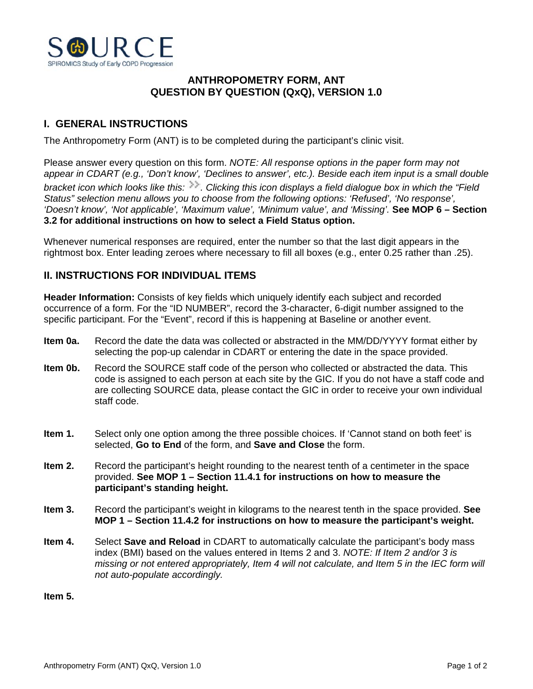

## **ANTHROPOMETRY FORM, ANT QUESTION BY QUESTION (QxQ), VERSION 1.0**

## **I. GENERAL INSTRUCTIONS**

The Anthropometry Form (ANT) is to be completed during the participant's clinic visit.

Please answer every question on this form. *NOTE: All response options in the paper form may not appear in CDART (e.g., 'Don't know', 'Declines to answer', etc.). Beside each item input is a small double bracket icon which looks like this:*  $\gg$ . Clicking this icon displays a field dialogue box in which the "Field *Status" selection menu allows you to choose from the following options: 'Refused', 'No response', 'Doesn't know', 'Not applicable', 'Maximum value', 'Minimum value', and 'Missing'.* **See MOP 6 – Section 3.2 for additional instructions on how to select a Field Status option.**

Whenever numerical responses are required, enter the number so that the last digit appears in the rightmost box. Enter leading zeroes where necessary to fill all boxes (e.g., enter 0.25 rather than .25).

## **II. INSTRUCTIONS FOR INDIVIDUAL ITEMS**

**Header Information:** Consists of key fields which uniquely identify each subject and recorded occurrence of a form. For the "ID NUMBER", record the 3-character, 6-digit number assigned to the specific participant. For the "Event", record if this is happening at Baseline or another event.

- **Item 0a.** Record the date the data was collected or abstracted in the MM/DD/YYYY format either by selecting the pop-up calendar in CDART or entering the date in the space provided.
- **Item 0b.** Record the SOURCE staff code of the person who collected or abstracted the data. This code is assigned to each person at each site by the GIC. If you do not have a staff code and are collecting SOURCE data, please contact the GIC in order to receive your own individual staff code.
- **Item 1.** Select only one option among the three possible choices. If 'Cannot stand on both feet' is selected, **Go to End** of the form, and **Save and Close** the form.
- **Item 2.** Record the participant's height rounding to the nearest tenth of a centimeter in the space provided. **See MOP 1 – Section 11.4.1 for instructions on how to measure the participant's standing height.**
- **Item 3.** Record the participant's weight in kilograms to the nearest tenth in the space provided. **See MOP 1 – Section 11.4.2 for instructions on how to measure the participant's weight.**
- **Item 4.** Select **Save and Reload** in CDART to automatically calculate the participant's body mass index (BMI) based on the values entered in Items 2 and 3. *NOTE: If Item 2 and/or 3 is missing or not entered appropriately, Item 4 will not calculate, and Item 5 in the IEC form will not auto-populate accordingly.*

**Item 5.**